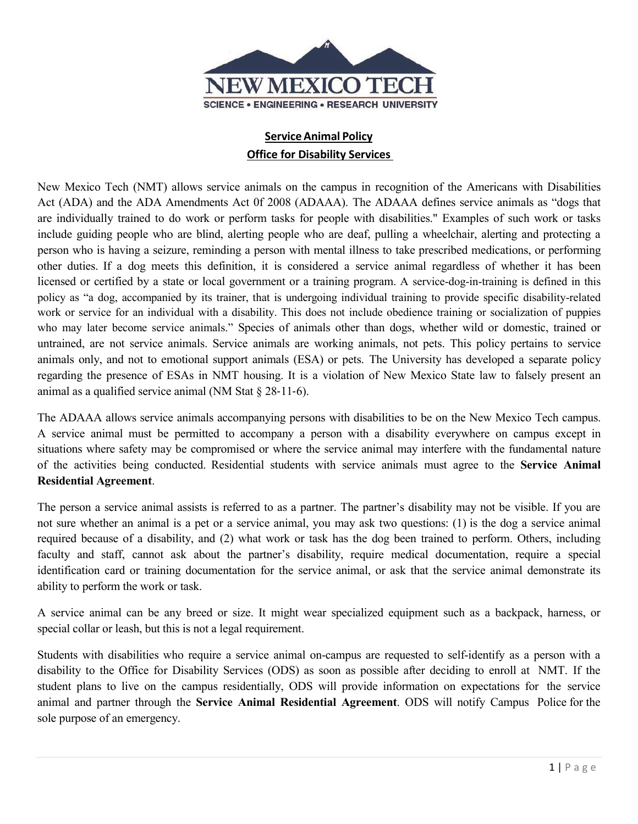

# **ServiceAnimal Policy Office for Disability Services**

New Mexico Tech (NMT) allows service animals on the campus in recognition of the Americans with Disabilities Act (ADA) and the ADA Amendments Act 0f 2008 (ADAAA). The ADAAA defines service animals as "dogs that are individually trained to do work or perform tasks for people with disabilities." Examples of such work or tasks include guiding people who are blind, alerting people who are deaf, pulling a wheelchair, alerting and protecting a person who is having a seizure, reminding a person with mental illness to take prescribed medications, or performing other duties. If a dog meets this definition, it is considered a service animal regardless of whether it has been licensed or certified by a state or local government or a training program. A service-dog-in-training is defined in this policy as "a dog, accompanied by its trainer, that is undergoing individual training to provide specific disability-related work or service for an individual with a disability. This does not include obedience training or socialization of puppies who may later become service animals." Species of animals other than dogs, whether wild or domestic, trained or untrained, are not service animals. Service animals are working animals, not pets. This policy pertains to service animals only, and not to emotional support animals (ESA) or pets. The University has developed a separate policy regarding the presence of ESAs in NMT housing. It is a violation of New Mexico State law to falsely present an animal as a qualified service animal (NM Stat § 28‐11‐6).

The ADAAA allows service animals accompanying persons with disabilities to be on the New Mexico Tech campus. A service animal must be permitted to accompany a person with a disability everywhere on campus except in situations where safety may be compromised or where the service animal may interfere with the fundamental nature of the activities being conducted. Residential students with service animals must agree to the **Service Animal Residential Agreement**.

The person a service animal assists is referred to as a partner. The partner's disability may not be visible. If you are not sure whether an animal is a pet or a service animal, you may ask two questions: (1) is the dog a service animal required because of a disability, and (2) what work or task has the dog been trained to perform. Others, including faculty and staff, cannot ask about the partner's disability, require medical documentation, require a special identification card or training documentation for the service animal, or ask that the service animal demonstrate its ability to perform the work or task.

A service animal can be any breed or size. It might wear specialized equipment such as a backpack, harness, or special collar or leash, but this is not a legal requirement.

Students with disabilities who require a service animal on-campus are requested to self-identify as a person with a disability to the Office for Disability Services (ODS) as soon as possible after deciding to enroll at NMT. If the student plans to live on the campus residentially, ODS will provide information on expectations for the service animal and partner through the **Service Animal Residential Agreement**. ODS will notify Campus Police for the sole purpose of an emergency.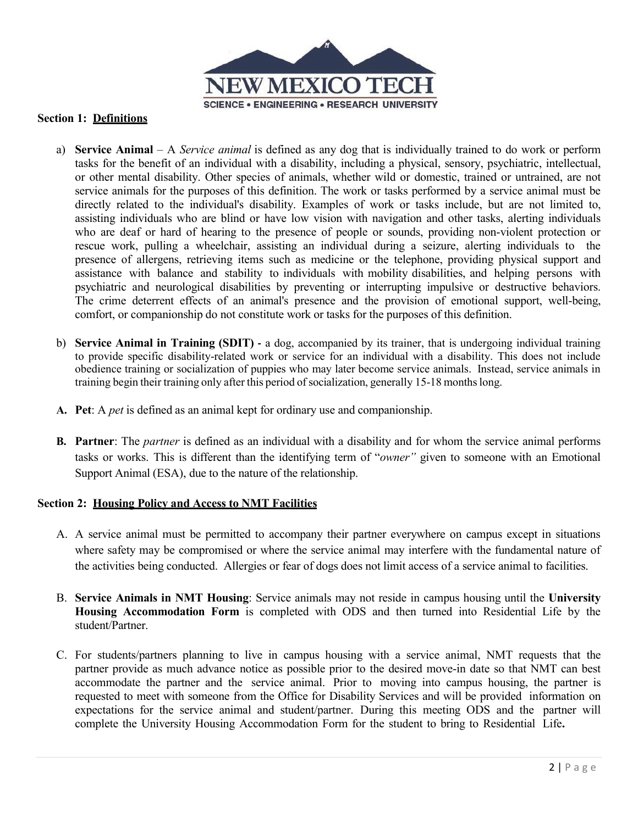

#### **Section 1: Definitions**

- a) **Service Animal** A *Service animal* is defined as any dog that is individually trained to do work or perform tasks for the benefit of an individual with a disability, including a physical, sensory, psychiatric, intellectual, or other mental disability. Other species of animals, whether wild or domestic, trained or untrained, are not service animals for the purposes of this definition. The work or tasks performed by a service animal must be directly related to the individual's disability. Examples of work or tasks include, but are not limited to, assisting individuals who are blind or have low vision with navigation and other tasks, alerting individuals who are deaf or hard of hearing to the presence of people or sounds, providing non-violent protection or rescue work, pulling a wheelchair, assisting an individual during a seizure, alerting individuals to the presence of allergens, retrieving items such as medicine or the telephone, providing physical support and assistance with balance and stability to individuals with mobility disabilities, and helping persons with psychiatric and neurological disabilities by preventing or interrupting impulsive or destructive behaviors. The crime deterrent effects of an animal's presence and the provision of emotional support, well-being, comfort, or companionship do not constitute work or tasks for the purposes of this definition.
- b) **Service Animal in Training (SDIT) ‐** a dog, accompanied by its trainer, that is undergoing individual training to provide specific disability-related work or service for an individual with a disability. This does not include obedience training or socialization of puppies who may later become service animals. Instead, service animals in training begin their training only after this period of socialization, generally 15-18 monthslong.
- **A. Pet**: A *pet* is defined as an animal kept for ordinary use and companionship.
- **B. Partner**: The *partner* is defined as an individual with a disability and for whom the service animal performs tasks or works. This is different than the identifying term of "*owner"* given to someone with an Emotional Support Animal (ESA), due to the nature of the relationship.

## **Section 2: Housing Policy and Access to NMT Facilities**

- A. A service animal must be permitted to accompany their partner everywhere on campus except in situations where safety may be compromised or where the service animal may interfere with the fundamental nature of the activities being conducted. Allergies or fear of dogs does not limit access of a service animal to facilities.
- B. **Service Animals in NMT Housing**: Service animals may not reside in campus housing until the **University Housing Accommodation Form** is completed with ODS and then turned into Residential Life by the student/Partner.
- C. For students/partners planning to live in campus housing with a service animal, NMT requests that the partner provide as much advance notice as possible prior to the desired move-in date so that NMT can best accommodate the partner and the service animal. Prior to moving into campus housing, the partner is requested to meet with someone from the Office for Disability Services and will be provided information on expectations for the service animal and student/partner. During this meeting ODS and the partner will complete the University Housing Accommodation Form for the student to bring to Residential Life**.**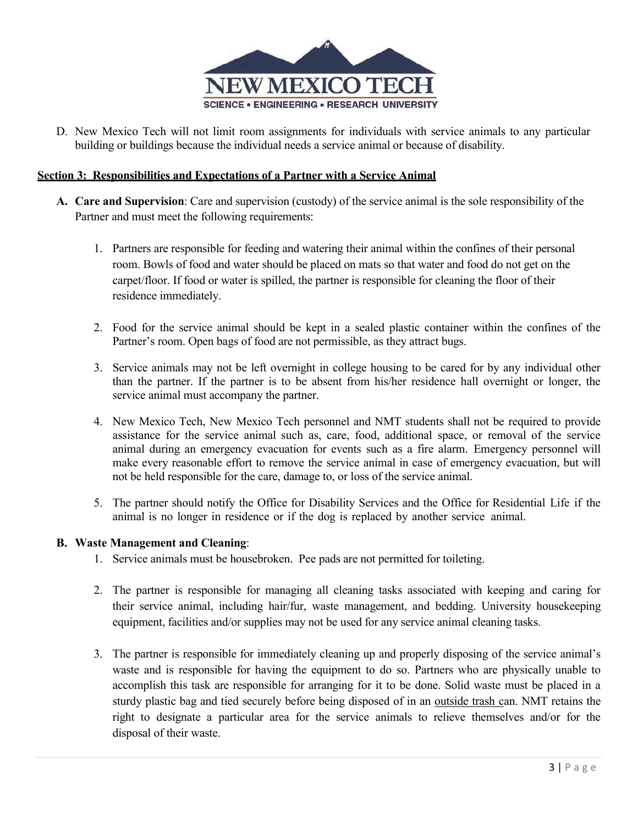

D. New Mexico Tech will not limit room assignments for individuals with service animals to any particular building or buildings because the individual needs a service animal or because of disability.

#### **Section 3: Responsibilities and Expectations of a Partner with a Service Animal**

- **A. Care and Supervision**: Care and supervision (custody) of the service animal is the sole responsibility of the Partner and must meet the following requirements:
	- 1. Partners are responsible for feeding and watering their animal within the confines of their personal room. Bowls of food and water should be placed on mats so that water and food do not get on the carpet/floor. If food or water is spilled, the partner is responsible for cleaning the floor of their residence immediately.
	- 2. Food for the service animal should be kept in a sealed plastic container within the confines of the Partner's room. Open bags of food are not permissible, as they attract bugs.
	- 3. Service animals may not be left overnight in college housing to be cared for by any individual other than the partner. If the partner is to be absent from his/her residence hall overnight or longer, the service animal must accompany the partner.
	- 4. New Mexico Tech, New Mexico Tech personnel and NMT students shall not be required to provide assistance for the service animal such as, care, food, additional space, or removal of the service animal during an emergency evacuation for events such as a fire alarm. Emergency personnel will make every reasonable effort to remove the service animal in case of emergency evacuation, but will not be held responsible for the care, damage to, or loss of the service animal.
	- 5. The partner should notify the Office for Disability Services and the Office for Residential Life if the animal is no longer in residence or if the dog is replaced by another service animal.

#### **B. Waste Management and Cleaning**:

- 1. Service animals must be housebroken. Pee pads are not permitted for toileting.
- 2. The partner is responsible for managing all cleaning tasks associated with keeping and caring for their service animal, including hair/fur, waste management, and bedding. University housekeeping equipment, facilities and/or supplies may not be used for any service animal cleaning tasks.
- 3. The partner is responsible for immediately cleaning up and properly disposing of the service animal's waste and is responsible for having the equipment to do so. Partners who are physically unable to accomplish this task are responsible for arranging for it to be done. Solid waste must be placed in a sturdy plastic bag and tied securely before being disposed of in an outside trash can. NMT retains the right to designate a particular area for the service animals to relieve themselves and/or for the disposal of their waste.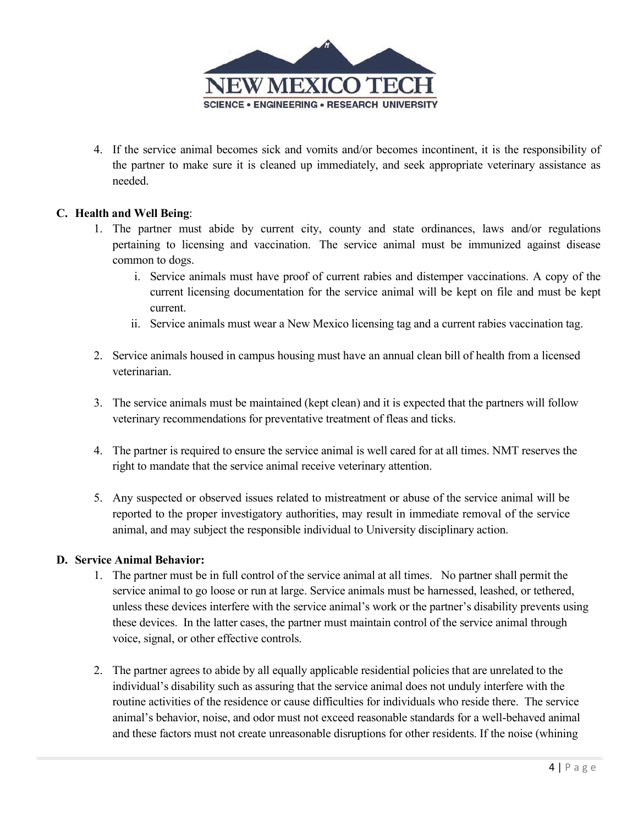

4. If the service animal becomes sick and vomits and/or becomes incontinent, it is the responsibility of the partner to make sure it is cleaned up immediately, and seek appropriate veterinary assistance as needed.

# **C. Health and Well Being**:

- 1. The partner must abide by current city, county and state ordinances, laws and/or regulations pertaining to licensing and vaccination. The service animal must be immunized against disease common to dogs.
	- i. Service animals must have proof of current rabies and distemper vaccinations. A copy of the current licensing documentation for the service animal will be kept on file and must be kept current.
	- ii. Service animals must wear a New Mexico licensing tag and a current rabies vaccination tag.
- 2. Service animals housed in campus housing must have an annual clean bill of health from a licensed veterinarian.
- 3. The service animals must be maintained (kept clean) and it is expected that the partners will follow veterinary recommendations for preventative treatment of fleas and ticks.
- 4. The partner is required to ensure the service animal is well cared for at all times. NMT reserves the right to mandate that the service animal receive veterinary attention.
- 5. Any suspected or observed issues related to mistreatment or abuse of the service animal will be reported to the proper investigatory authorities, may result in immediate removal of the service animal, and may subject the responsible individual to University disciplinary action.

## **D. Service Animal Behavior:**

- 1. The partner must be in full control of the service animal at all times. No partner shall permit the service animal to go loose or run at large. Service animals must be harnessed, leashed, or tethered, unless these devices interfere with the service animal's work or the partner's disability prevents using these devices. In the latter cases, the partner must maintain control of the service animal through voice, signal, or other effective controls.
- 2. The partner agrees to abide by all equally applicable residential policies that are unrelated to the individual's disability such as assuring that the service animal does not unduly interfere with the routine activities of the residence or cause difficulties for individuals who reside there. The service animal's behavior, noise, and odor must not exceed reasonable standards for a well-behaved animal and these factors must not create unreasonable disruptions for other residents. If the noise (whining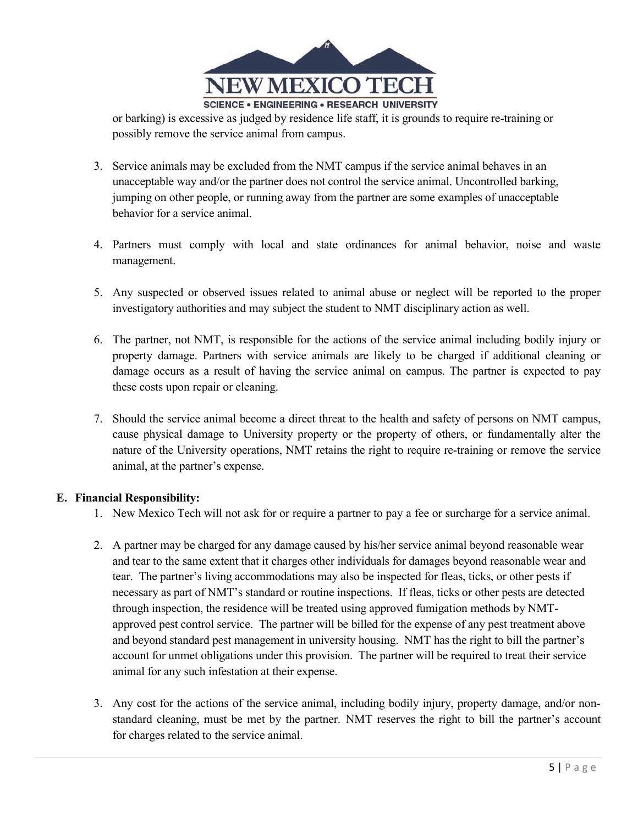

or barking) is excessive as judged by residence life staff, it is grounds to require re-training or possibly remove the service animal from campus.

- 3. Service animals may be excluded from the NMT campus if the service animal behaves in an unacceptable way and/or the partner does not control the service animal. Uncontrolled barking, jumping on other people, or running away from the partner are some examples of unacceptable behavior for a service animal.
- 4. Partners must comply with local and state ordinances for animal behavior, noise and waste management.
- 5. Any suspected or observed issues related to animal abuse or neglect will be reported to the proper investigatory authorities and may subject the student to NMT disciplinary action as well.
- 6. The partner, not NMT, is responsible for the actions of the service animal including bodily injury or property damage. Partners with service animals are likely to be charged if additional cleaning or damage occurs as a result of having the service animal on campus. The partner is expected to pay these costs upon repair or cleaning.
- 7. Should the service animal become a direct threat to the health and safety of persons on NMT campus, cause physical damage to University property or the property of others, or fundamentally alter the nature of the University operations, NMT retains the right to require re-training or remove the service animal, at the partner's expense.

## **E. Financial Responsibility:**

- 1. New Mexico Tech will not ask for or require a partner to pay a fee or surcharge for a service animal.
- 2. A partner may be charged for any damage caused by his/her service animal beyond reasonable wear and tear to the same extent that it charges other individuals for damages beyond reasonable wear and tear. The partner's living accommodations may also be inspected for fleas, ticks, or other pests if necessary as part of NMT's standard or routine inspections. If fleas, ticks or other pests are detected through inspection, the residence will be treated using approved fumigation methods by NMTapproved pest control service. The partner will be billed for the expense of any pest treatment above and beyond standard pest management in university housing. NMT has the right to bill the partner's account for unmet obligations under this provision. The partner will be required to treat their service animal for any such infestation at their expense.
- 3. Any cost for the actions of the service animal, including bodily injury, property damage, and/or nonstandard cleaning, must be met by the partner. NMT reserves the right to bill the partner's account for charges related to the service animal.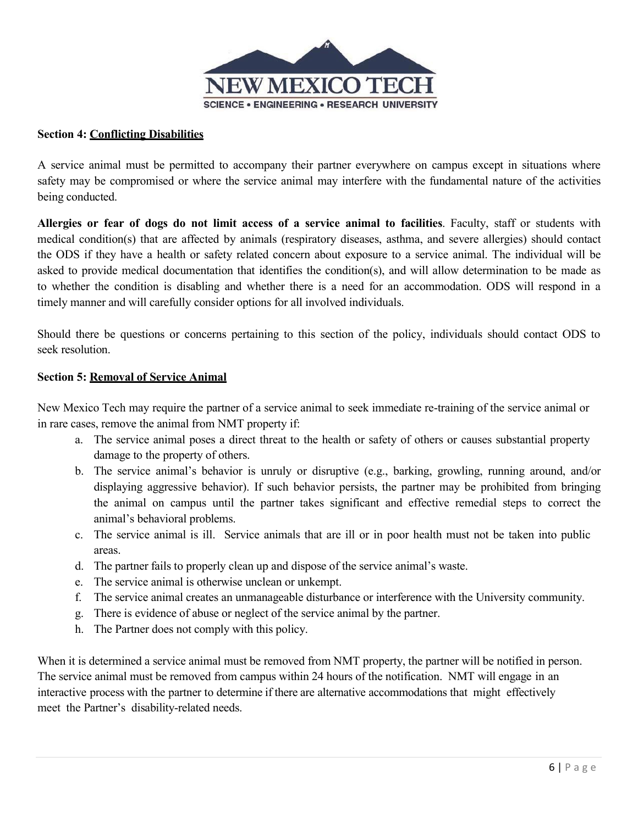

# **Section 4: Conflicting Disabilities**

A service animal must be permitted to accompany their partner everywhere on campus except in situations where safety may be compromised or where the service animal may interfere with the fundamental nature of the activities being conducted.

**Allergies or fear of dogs do not limit access of a service animal to facilities**. Faculty, staff or students with medical condition(s) that are affected by animals (respiratory diseases, asthma, and severe allergies) should contact the ODS if they have a health or safety related concern about exposure to a service animal. The individual will be asked to provide medical documentation that identifies the condition(s), and will allow determination to be made as to whether the condition is disabling and whether there is a need for an accommodation. ODS will respond in a timely manner and will carefully consider options for all involved individuals.

Should there be questions or concerns pertaining to this section of the policy, individuals should contact ODS to seek resolution.

## **Section 5: Removal of Service Animal**

New Mexico Tech may require the partner of a service animal to seek immediate re-training of the service animal or in rare cases, remove the animal from NMT property if:

- a. The service animal poses a direct threat to the health or safety of others or causes substantial property damage to the property of others.
- b. The service animal's behavior is unruly or disruptive (e.g., barking, growling, running around, and/or displaying aggressive behavior). If such behavior persists, the partner may be prohibited from bringing the animal on campus until the partner takes significant and effective remedial steps to correct the animal's behavioral problems.
- c. The service animal is ill. Service animals that are ill or in poor health must not be taken into public areas.
- d. The partner fails to properly clean up and dispose of the service animal's waste.
- e. The service animal is otherwise unclean or unkempt.
- f. The service animal creates an unmanageable disturbance or interference with the University community.
- g. There is evidence of abuse or neglect of the service animal by the partner.
- h. The Partner does not comply with this policy.

When it is determined a service animal must be removed from NMT property, the partner will be notified in person. The service animal must be removed from campus within 24 hours of the notification. NMT will engage in an interactive process with the partner to determine if there are alternative accommodations that might effectively meet the Partner's disability-related needs.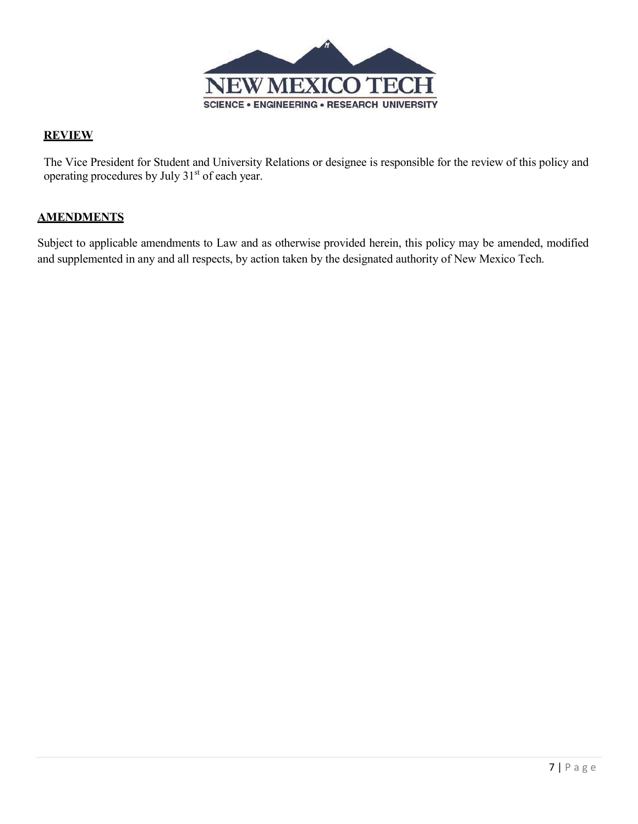

## **REVIEW**

The Vice President for Student and University Relations or designee is responsible for the review of this policy and operating procedures by July 31<sup>st</sup> of each year.

# **AMENDMENTS**

Subject to applicable amendments to Law and as otherwise provided herein, this policy may be amended, modified and supplemented in any and all respects, by action taken by the designated authority of New Mexico Tech.